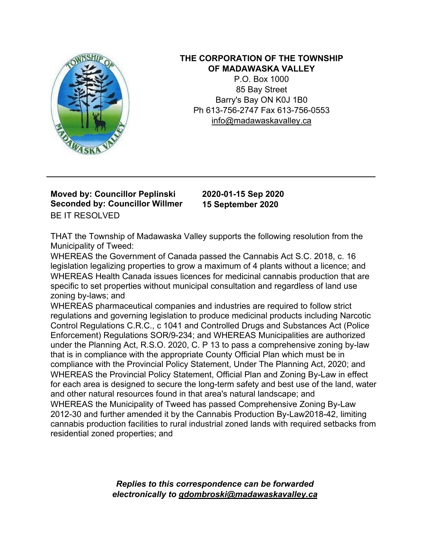

## **THE CORPORATION OF THE TOWNSHIP OF MADAWASKA VALLEY**

P.O. Box 1000 85 Bay Street Barry's Bay ON K0J 1B0 Ph 613-756-2747 Fax 613-756-0553 info@madawaskavalley.ca

## **Moved by: Councillor Peplinski Seconded by: Councillor Willmer** BE IT RESOLVED

**2020-01-15 Sep 2020 15 September 2020**

THAT the Township of Madawaska Valley supports the following resolution from the Municipality of Tweed:

WHEREAS the Government of Canada passed the Cannabis Act S.C. 2018, c. 16 legislation legalizing properties to grow a maximum of 4 plants without a licence; and WHEREAS Health Canada issues licences for medicinal cannabis production that are specific to set properties without municipal consultation and regardless of land use zoning by-laws; and

WHEREAS pharmaceutical companies and industries are required to follow strict regulations and governing legislation to produce medicinal products including Narcotic Control Regulations C.R.C., c 1041 and Controlled Drugs and Substances Act (Police Enforcement) Regulations SOR/9-234; and WHEREAS Municipalities are authorized under the Planning Act, R.S.O. 2020, C. P 13 to pass a comprehensive zoning by-law that is in compliance with the appropriate County Official Plan which must be in compliance with the Provincial Policy Statement, Under The Planning Act, 2020; and WHEREAS the Provincial Policy Statement, Official Plan and Zoning By-Law in effect for each area is designed to secure the long-term safety and best use of the land, water and other natural resources found in that area's natural landscape; and WHEREAS the Municipality of Tweed has passed Comprehensive Zoning By-Law 2012-30 and further amended it by the Cannabis Production By-Law2018-42, limiting cannabis production facilities to rural industrial zoned lands with required setbacks from residential zoned properties; and

> *Replies to this correspondence can be forwarded electronically to gdombroski@madawaskavalley.ca*